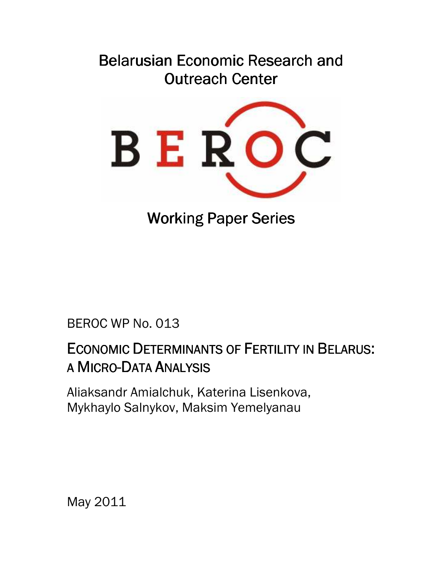# Belarusian Economic Research and Outreach Center



**Working Paper Series** 

BEROC WP No. 013

# ECONOMIC DETERMINANTS OF FERTILITY IN BELARUS: A MICRO-DATA ANALYSIS

Aliaksandr Amialchuk, Katerina Lisenkova, Mykhaylo Salnykov, Maksim Yemelyanau

May 2011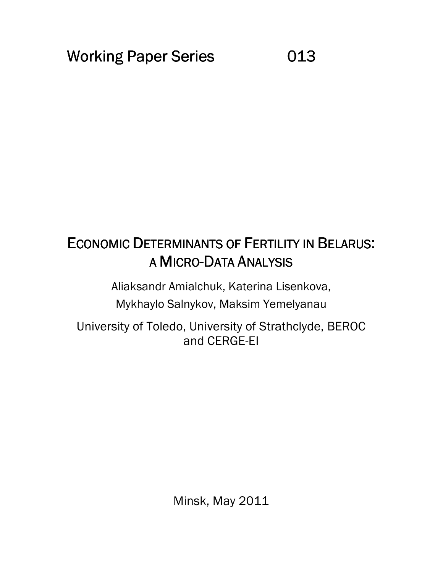# ECONOMIC DETERMINANTS OF FERTILITY IN BELARUS: A MICRO-DATA ANALYSIS

Aliaksandr Amialchuk, Katerina Lisenkova, Mykhaylo Salnykov, Maksim Yemelyanau

University of Toledo, University of Strathclyde, BEROC and CERGE-EI

Minsk, May 2011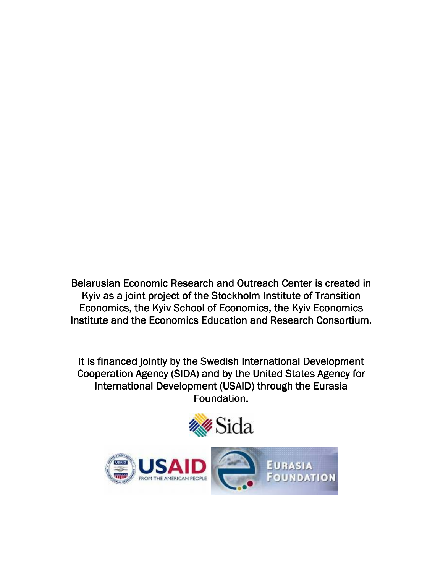Belarusian Economic Research and Outreach Center is created in Kyiv as a joint project of the Stockholm Institute of Transition Economics, the Kyiv School of Economics, the Kyiv Economics Institute and the Economics Education and Research Consortium.

It is financed jointly by the Swedish International Development Cooperation Agency (SIDA) and by the United States Agency for International Development (USAID) through the Eurasia Foundation.



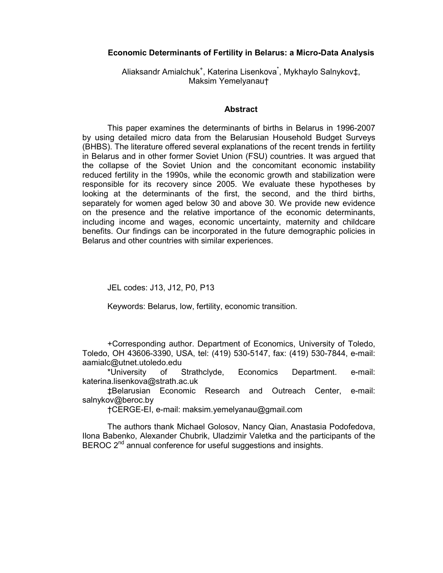# Economic Determinants of Fertility in Belarus: a Micro-Data Analysis

Aliaksandr Amialchuk<sup>+</sup>, Katerina Lisenkova<sup>\*</sup>, Mykhaylo Salnykov‡, Maksim Yemelyanau†

## **Abstract**

This paper examines the determinants of births in Belarus in 1996-2007 by using detailed micro data from the Belarusian Household Budget Surveys (BHBS). The literature offered several explanations of the recent trends in fertility in Belarus and in other former Soviet Union (FSU) countries. It was argued that the collapse of the Soviet Union and the concomitant economic instability reduced fertility in the 1990s, while the economic growth and stabilization were responsible for its recovery since 2005. We evaluate these hypotheses by looking at the determinants of the first, the second, and the third births, separately for women aged below 30 and above 30. We provide new evidence on the presence and the relative importance of the economic determinants, including income and wages, economic uncertainty, maternity and childcare benefits. Our findings can be incorporated in the future demographic policies in Belarus and other countries with similar experiences.

JEL codes: J13, J12, P0, P13

Keywords: Belarus, low, fertility, economic transition.

+Corresponding author. Department of Economics, University of Toledo, Toledo, OH 43606-3390, USA, tel: (419) 530-5147, fax: (419) 530-7844, e-mail: aamialc@utnet.utoledo.edu

\*University of Strathclyde, Economics Department. e-mail: katerina.lisenkova@strath.ac.uk

‡Belarusian Economic Research and Outreach Center, e-mail: salnykov@beroc.by

†CERGE-EI, e-mail: maksim.yemelyanau@gmail.com

The authors thank Michael Golosov, Nancy Qian, Anastasia Podofedova, Ilona Babenko, Alexander Chubrik, Uladzimir Valetka and the participants of the BEROC 2<sup>nd</sup> annual conference for useful suggestions and insights.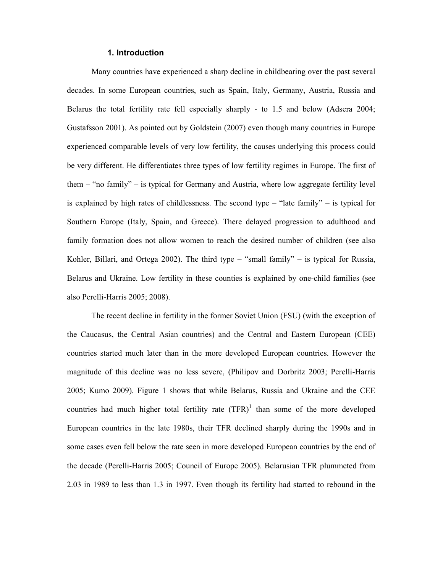## 1. Introduction

Many countries have experienced a sharp decline in childbearing over the past several decades. In some European countries, such as Spain, Italy, Germany, Austria, Russia and Belarus the total fertility rate fell especially sharply - to 1.5 and below (Adsera 2004; Gustafsson 2001). As pointed out by Goldstein (2007) even though many countries in Europe experienced comparable levels of very low fertility, the causes underlying this process could be very different. He differentiates three types of low fertility regimes in Europe. The first of them – "no family" – is typical for Germany and Austria, where low aggregate fertility level is explained by high rates of childlessness. The second type – "late family" – is typical for Southern Europe (Italy, Spain, and Greece). There delayed progression to adulthood and family formation does not allow women to reach the desired number of children (see also Kohler, Billari, and Ortega 2002). The third type – "small family" – is typical for Russia, Belarus and Ukraine. Low fertility in these counties is explained by one-child families (see also Perelli-Harris 2005; 2008).

The recent decline in fertility in the former Soviet Union (FSU) (with the exception of the Caucasus, the Central Asian countries) and the Central and Eastern European (CEE) countries started much later than in the more developed European countries. However the magnitude of this decline was no less severe, (Philipov and Dorbritz 2003; Perelli-Harris 2005; Kumo 2009). Figure 1 shows that while Belarus, Russia and Ukraine and the CEE countries had much higher total fertility rate  $(TFR)^1$  than some of the more developed European countries in the late 1980s, their TFR declined sharply during the 1990s and in some cases even fell below the rate seen in more developed European countries by the end of the decade (Perelli-Harris 2005; Council of Europe 2005). Belarusian TFR plummeted from 2.03 in 1989 to less than 1.3 in 1997. Even though its fertility had started to rebound in the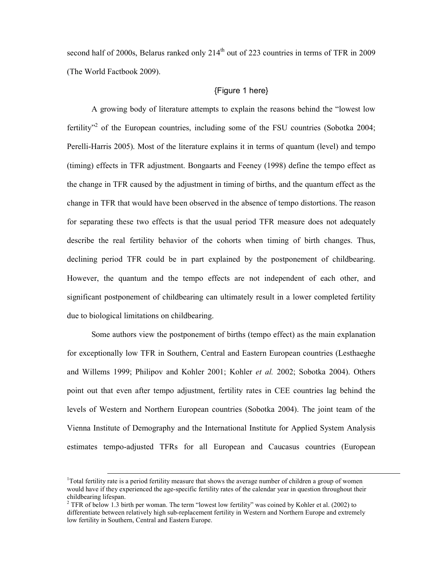second half of 2000s, Belarus ranked only 214<sup>th</sup> out of 223 countries in terms of TFR in 2009 (The World Factbook 2009).

# {Figure 1 here}

A growing body of literature attempts to explain the reasons behind the "lowest low fertility"<sup>2</sup> of the European countries, including some of the FSU countries (Sobotka 2004; Perelli-Harris 2005). Most of the literature explains it in terms of quantum (level) and tempo (timing) effects in TFR adjustment. Bongaarts and Feeney (1998) define the tempo effect as the change in TFR caused by the adjustment in timing of births, and the quantum effect as the change in TFR that would have been observed in the absence of tempo distortions. The reason for separating these two effects is that the usual period TFR measure does not adequately describe the real fertility behavior of the cohorts when timing of birth changes. Thus, declining period TFR could be in part explained by the postponement of childbearing. However, the quantum and the tempo effects are not independent of each other, and significant postponement of childbearing can ultimately result in a lower completed fertility due to biological limitations on childbearing.

Some authors view the postponement of births (tempo effect) as the main explanation for exceptionally low TFR in Southern, Central and Eastern European countries (Lesthaeghe and Willems 1999; Philipov and Kohler 2001; Kohler et al. 2002; Sobotka 2004). Others point out that even after tempo adjustment, fertility rates in CEE countries lag behind the levels of Western and Northern European countries (Sobotka 2004). The joint team of the Vienna Institute of Demography and the International Institute for Applied System Analysis estimates tempo-adjusted TFRs for all European and Caucasus countries (European

 $\overline{a}$ 

<sup>&</sup>lt;sup>1</sup>Total fertility rate is a period fertility measure that shows the average number of children a group of women would have if they experienced the age-specific fertility rates of the calendar year in question throughout their childbearing lifespan.

<sup>&</sup>lt;sup>2</sup> TFR of below 1.3 birth per woman. The term "lowest low fertility" was coined by Kohler et al. (2002) to differentiate between relatively high sub-replacement fertility in Western and Northern Europe and extremely low fertility in Southern, Central and Eastern Europe.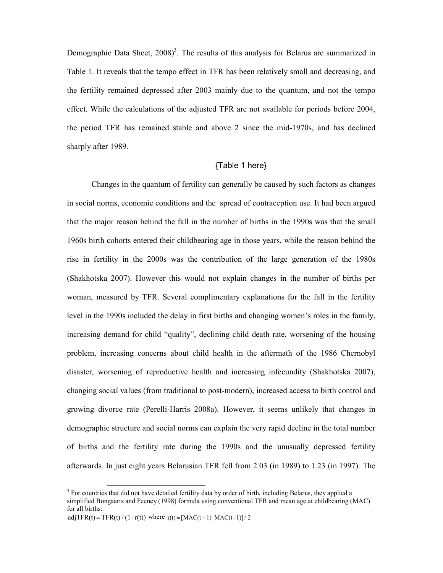Demographic Data Sheet,  $2008$ <sup>3</sup>. The results of this analysis for Belarus are summarized in Table 1. It reveals that the tempo effect in TFR has been relatively small and decreasing, and the fertility remained depressed after 2003 mainly due to the quantum, and not the tempo effect. While the calculations of the adjusted TFR are not available for periods before 2004, the period TFR has remained stable and above 2 since the mid-1970s, and has declined sharply after 1989.

# {Table 1 here}

Changes in the quantum of fertility can generally be caused by such factors as changes in social norms, economic conditions and the spread of contraception use. It had been argued that the major reason behind the fall in the number of births in the 1990s was that the small 1960s birth cohorts entered their childbearing age in those years, while the reason behind the rise in fertility in the 2000s was the contribution of the large generation of the 1980s (Shakhotska 2007). However this would not explain changes in the number of births per woman, measured by TFR. Several complimentary explanations for the fall in the fertility level in the 1990s included the delay in first births and changing women's roles in the family, increasing demand for child "quality", declining child death rate, worsening of the housing problem, increasing concerns about child health in the aftermath of the 1986 Chernobyl disaster, worsening of reproductive health and increasing infecundity (Shakhotska 2007), changing social values (from traditional to post-modern), increased access to birth control and growing divorce rate (Perelli-Harris 2008a). However, it seems unlikely that changes in demographic structure and social norms can explain the very rapid decline in the total number of births and the fertility rate during the 1990s and the unusually depressed fertility afterwards. In just eight years Belarusian TFR fell from 2.03 (in 1989) to 1.23 (in 1997). The

 $\ddot{\phantom{a}}$ 

<sup>&</sup>lt;sup>3</sup> For countries that did not have detailed fertility data by order of birth, including Belarus, they applied a simplified Bongaarts and Feeney (1998) formula using conventional TFR and mean age at childbearing (MAC) for all births:

adjTFR(t) = TFR(t) / (1 - r(t)) where  $r(t) = [MAC(t+1) MAC(t-1)] / 2$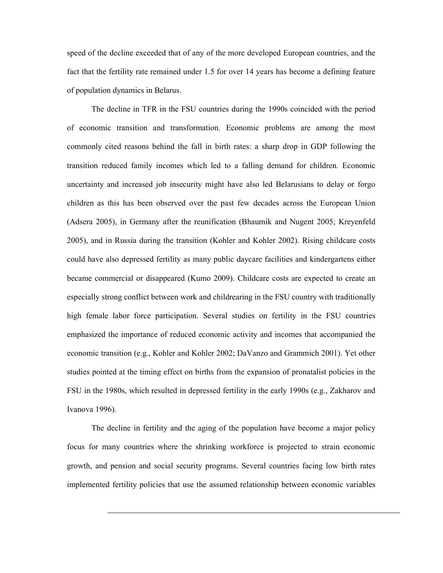speed of the decline exceeded that of any of the more developed European countries, and the fact that the fertility rate remained under 1.5 for over 14 years has become a defining feature of population dynamics in Belarus.

The decline in TFR in the FSU countries during the 1990s coincided with the period of economic transition and transformation. Economic problems are among the most commonly cited reasons behind the fall in birth rates: a sharp drop in GDP following the transition reduced family incomes which led to a falling demand for children. Economic uncertainty and increased job insecurity might have also led Belarusians to delay or forgo children as this has been observed over the past few decades across the European Union (Adsera 2005), in Germany after the reunification (Bhaumik and Nugent 2005; Kreyenfeld 2005), and in Russia during the transition (Kohler and Kohler 2002). Rising childcare costs could have also depressed fertility as many public daycare facilities and kindergartens either became commercial or disappeared (Kumo 2009). Childcare costs are expected to create an especially strong conflict between work and childrearing in the FSU country with traditionally high female labor force participation. Several studies on fertility in the FSU countries emphasized the importance of reduced economic activity and incomes that accompanied the economic transition (e.g., Kohler and Kohler 2002; DaVanzo and Grammich 2001). Yet other studies pointed at the timing effect on births from the expansion of pronatalist policies in the FSU in the 1980s, which resulted in depressed fertility in the early 1990s (e.g., Zakharov and Ivanova 1996).

The decline in fertility and the aging of the population have become a major policy focus for many countries where the shrinking workforce is projected to strain economic growth, and pension and social security programs. Several countries facing low birth rates implemented fertility policies that use the assumed relationship between economic variables

 $\overline{a}$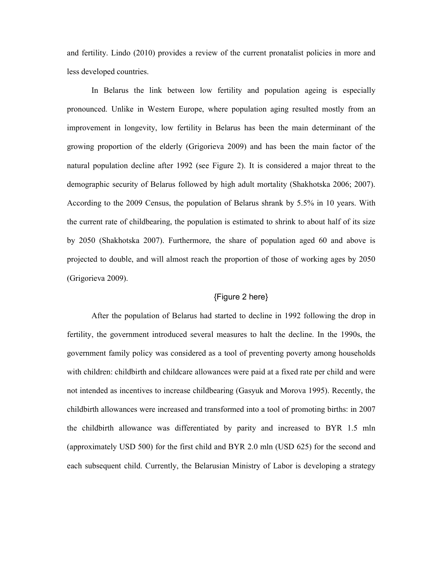and fertility. Lindo (2010) provides a review of the current pronatalist policies in more and less developed countries.

In Belarus the link between low fertility and population ageing is especially pronounced. Unlike in Western Europe, where population aging resulted mostly from an improvement in longevity, low fertility in Belarus has been the main determinant of the growing proportion of the elderly (Grigorieva 2009) and has been the main factor of the natural population decline after 1992 (see Figure 2). It is considered a major threat to the demographic security of Belarus followed by high adult mortality (Shakhotska 2006; 2007). According to the 2009 Census, the population of Belarus shrank by 5.5% in 10 years. With the current rate of childbearing, the population is estimated to shrink to about half of its size by 2050 (Shakhotska 2007). Furthermore, the share of population aged 60 and above is projected to double, and will almost reach the proportion of those of working ages by 2050 (Grigorieva 2009).

# {Figure 2 here}

After the population of Belarus had started to decline in 1992 following the drop in fertility, the government introduced several measures to halt the decline. In the 1990s, the government family policy was considered as a tool of preventing poverty among households with children: childbirth and childcare allowances were paid at a fixed rate per child and were not intended as incentives to increase childbearing (Gasyuk and Morova 1995). Recently, the childbirth allowances were increased and transformed into a tool of promoting births: in 2007 the childbirth allowance was differentiated by parity and increased to BYR 1.5 mln (approximately USD 500) for the first child and BYR 2.0 mln (USD 625) for the second and each subsequent child. Currently, the Belarusian Ministry of Labor is developing a strategy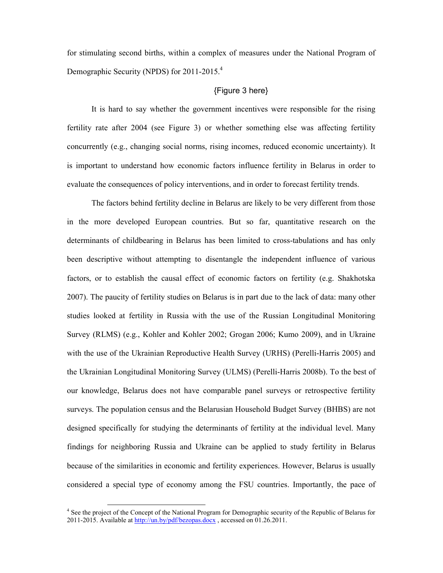for stimulating second births, within a complex of measures under the National Program of Demographic Security (NPDS) for 2011-2015.<sup>4</sup>

### {Figure 3 here}

It is hard to say whether the government incentives were responsible for the rising fertility rate after 2004 (see Figure 3) or whether something else was affecting fertility concurrently (e.g., changing social norms, rising incomes, reduced economic uncertainty). It is important to understand how economic factors influence fertility in Belarus in order to evaluate the consequences of policy interventions, and in order to forecast fertility trends.

The factors behind fertility decline in Belarus are likely to be very different from those in the more developed European countries. But so far, quantitative research on the determinants of childbearing in Belarus has been limited to cross-tabulations and has only been descriptive without attempting to disentangle the independent influence of various factors, or to establish the causal effect of economic factors on fertility (e.g. Shakhotska 2007). The paucity of fertility studies on Belarus is in part due to the lack of data: many other studies looked at fertility in Russia with the use of the Russian Longitudinal Monitoring Survey (RLMS) (e.g., Kohler and Kohler 2002; Grogan 2006; Kumo 2009), and in Ukraine with the use of the Ukrainian Reproductive Health Survey (URHS) (Perelli-Harris 2005) and the Ukrainian Longitudinal Monitoring Survey (ULMS) (Perelli-Harris 2008b). To the best of our knowledge, Belarus does not have comparable panel surveys or retrospective fertility surveys. The population census and the Belarusian Household Budget Survey (BHBS) are not designed specifically for studying the determinants of fertility at the individual level. Many findings for neighboring Russia and Ukraine can be applied to study fertility in Belarus because of the similarities in economic and fertility experiences. However, Belarus is usually considered a special type of economy among the FSU countries. Importantly, the pace of

 $\overline{a}$ 

<sup>&</sup>lt;sup>4</sup> See the project of the Concept of the National Program for Demographic security of the Republic of Belarus for 2011-2015. Available at http://un.by/pdf/bezopas.docx , accessed on 01.26.2011.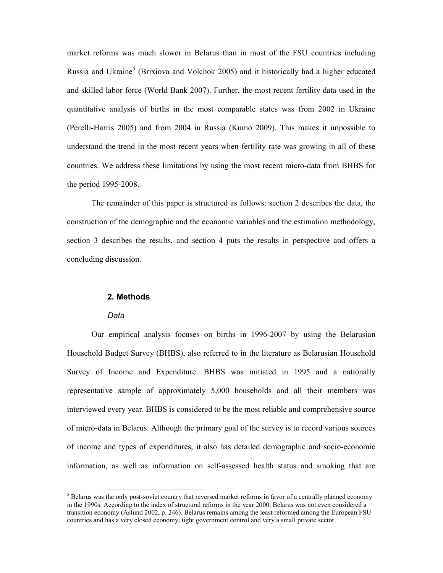market reforms was much slower in Belarus than in most of the FSU countries including Russia and Ukraine<sup>5</sup> (Brixiova and Volchok 2005) and it historically had a higher educated and skilled labor force (World Bank 2007). Further, the most recent fertility data used in the quantitative analysis of births in the most comparable states was from 2002 in Ukraine (Perelli-Harris 2005) and from 2004 in Russia (Kumo 2009). This makes it impossible to understand the trend in the most recent years when fertility rate was growing in all of these countries. We address these limitations by using the most recent micro-data from BHBS for the period 1995-2008.

The remainder of this paper is structured as follows: section 2 describes the data, the construction of the demographic and the economic variables and the estimation methodology, section 3 describes the results, and section 4 puts the results in perspective and offers a concluding discussion.

## 2. Methods

#### Data

 $\ddot{ }$ 

Our empirical analysis focuses on births in 1996-2007 by using the Belarusian Household Budget Survey (BHBS), also referred to in the literature as Belarusian Household Survey of Income and Expenditure. BHBS was initiated in 1995 and a nationally representative sample of approximately 5,000 households and all their members was interviewed every year. BHBS is considered to be the most reliable and comprehensive source of micro-data in Belarus. Although the primary goal of the survey is to record various sources of income and types of expenditures, it also has detailed demographic and socio-economic information, as well as information on self-assessed health status and smoking that are

 $<sup>5</sup>$  Belarus was the only post-soviet country that reversed market reforms in favor of a centrally planned economy</sup> in the 1990s. According to the index of structural reforms in the year 2000, Belarus was not even considered a transition economy (Aslund 2002, p. 246). Belarus remains among the least reformed among the European FSU countries and has a very closed economy, tight government control and very a small private sector.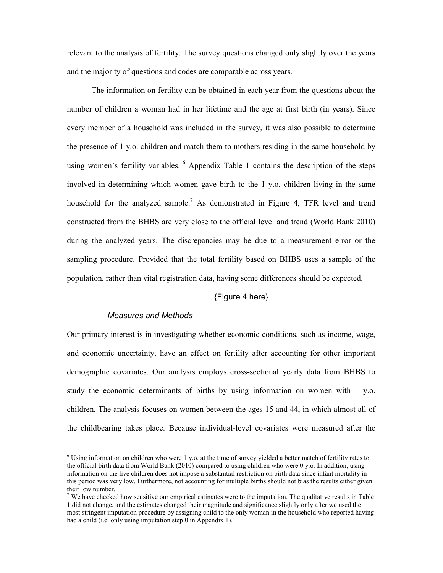relevant to the analysis of fertility. The survey questions changed only slightly over the years and the majority of questions and codes are comparable across years.

The information on fertility can be obtained in each year from the questions about the number of children a woman had in her lifetime and the age at first birth (in years). Since every member of a household was included in the survey, it was also possible to determine the presence of 1 y.o. children and match them to mothers residing in the same household by using women's fertility variables.  $6$  Appendix Table 1 contains the description of the steps involved in determining which women gave birth to the 1 y.o. children living in the same household for the analyzed sample.<sup>7</sup> As demonstrated in Figure 4, TFR level and trend constructed from the BHBS are very close to the official level and trend (World Bank 2010) during the analyzed years. The discrepancies may be due to a measurement error or the sampling procedure. Provided that the total fertility based on BHBS uses a sample of the population, rather than vital registration data, having some differences should be expected.

# {Figure 4 here}

## Measures and Methods

Our primary interest is in investigating whether economic conditions, such as income, wage, and economic uncertainty, have an effect on fertility after accounting for other important demographic covariates. Our analysis employs cross-sectional yearly data from BHBS to study the economic determinants of births by using information on women with 1 y.o. children. The analysis focuses on women between the ages 15 and 44, in which almost all of the childbearing takes place. Because individual-level covariates were measured after the

 6 Using information on children who were 1 y.o. at the time of survey yielded a better match of fertility rates to the official birth data from World Bank (2010) compared to using children who were 0 y.o. In addition, using information on the live children does not impose a substantial restriction on birth data since infant mortality in this period was very low. Furthermore, not accounting for multiple births should not bias the results either given their low number.

<sup>&</sup>lt;sup>7</sup> We have checked how sensitive our empirical estimates were to the imputation. The qualitative results in Table 1 did not change, and the estimates changed their magnitude and significance slightly only after we used the most stringent imputation procedure by assigning child to the only woman in the household who reported having had a child (i.e. only using imputation step 0 in Appendix 1).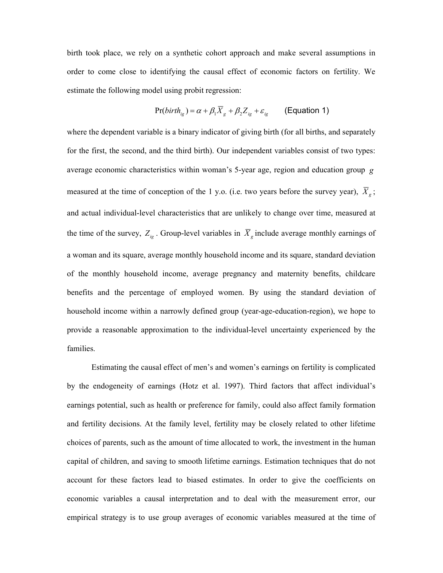birth took place, we rely on a synthetic cohort approach and make several assumptions in order to come close to identifying the causal effect of economic factors on fertility. We estimate the following model using probit regression:

$$
Pr(birth_{i_g}) = \alpha + \beta_1 \overline{X}_g + \beta_2 Z_{i_g} + \varepsilon_{i_g}
$$
 (Equation 1)

where the dependent variable is a binary indicator of giving birth (for all births, and separately for the first, the second, and the third birth). Our independent variables consist of two types: average economic characteristics within woman's 5-year age, region and education group  $g$ measured at the time of conception of the 1 y.o. (i.e. two years before the survey year),  $X_{g}$ , and actual individual-level characteristics that are unlikely to change over time, measured at the time of the survey,  $Z_{ig}$ . Group-level variables in  $X_g$  include average monthly earnings of a woman and its square, average monthly household income and its square, standard deviation of the monthly household income, average pregnancy and maternity benefits, childcare benefits and the percentage of employed women. By using the standard deviation of household income within a narrowly defined group (year-age-education-region), we hope to provide a reasonable approximation to the individual-level uncertainty experienced by the families.

Estimating the causal effect of men's and women's earnings on fertility is complicated by the endogeneity of earnings (Hotz et al. 1997). Third factors that affect individual's earnings potential, such as health or preference for family, could also affect family formation and fertility decisions. At the family level, fertility may be closely related to other lifetime choices of parents, such as the amount of time allocated to work, the investment in the human capital of children, and saving to smooth lifetime earnings. Estimation techniques that do not account for these factors lead to biased estimates. In order to give the coefficients on economic variables a causal interpretation and to deal with the measurement error, our empirical strategy is to use group averages of economic variables measured at the time of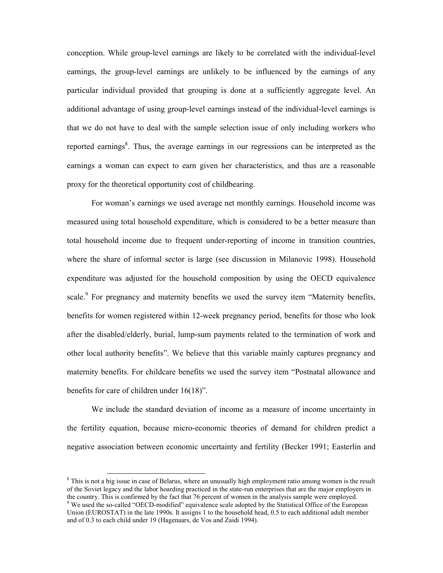conception. While group-level earnings are likely to be correlated with the individual-level earnings, the group-level earnings are unlikely to be influenced by the earnings of any particular individual provided that grouping is done at a sufficiently aggregate level. An additional advantage of using group-level earnings instead of the individual-level earnings is that we do not have to deal with the sample selection issue of only including workers who reported earnings<sup>8</sup>. Thus, the average earnings in our regressions can be interpreted as the earnings a woman can expect to earn given her characteristics, and thus are a reasonable proxy for the theoretical opportunity cost of childbearing.

For woman's earnings we used average net monthly earnings. Household income was measured using total household expenditure, which is considered to be a better measure than total household income due to frequent under-reporting of income in transition countries, where the share of informal sector is large (see discussion in Milanovic 1998). Household expenditure was adjusted for the household composition by using the OECD equivalence scale.<sup>9</sup> For pregnancy and maternity benefits we used the survey item "Maternity benefits, benefits for women registered within 12-week pregnancy period, benefits for those who look after the disabled/elderly, burial, lump-sum payments related to the termination of work and other local authority benefits". We believe that this variable mainly captures pregnancy and maternity benefits. For childcare benefits we used the survey item "Postnatal allowance and benefits for care of children under 16(18)".

We include the standard deviation of income as a measure of income uncertainty in the fertility equation, because micro-economic theories of demand for children predict a negative association between economic uncertainty and fertility (Becker 1991; Easterlin and

 $\overline{a}$ 

<sup>&</sup>lt;sup>8</sup> This is not a big issue in case of Belarus, where an unusually high employment ratio among women is the result of the Soviet legacy and the labor hoarding practiced in the state-run enterprises that are the major employers in the country. This is confirmed by the fact that 76 percent of women in the analysis sample were employed.

<sup>&</sup>lt;sup>9</sup> We used the so-called "OECD-modified" equivalence scale adopted by the Statistical Office of the European Union (EUROSTAT) in the late 1990s. It assigns 1 to the household head, 0.5 to each additional adult member and of 0.3 to each child under 19 (Hagenaars, de Vos and Zaidi 1994).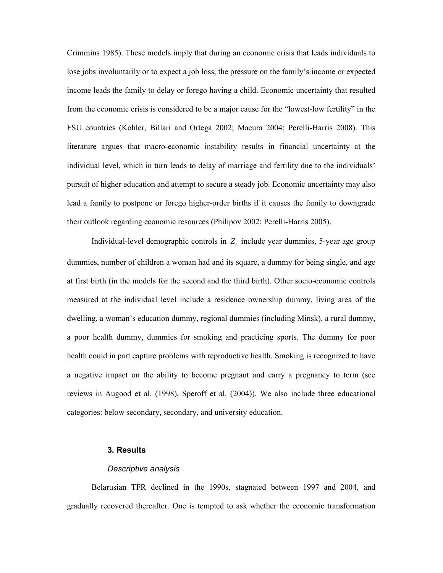Crimmins 1985). These models imply that during an economic crisis that leads individuals to lose jobs involuntarily or to expect a job loss, the pressure on the family's income or expected income leads the family to delay or forego having a child. Economic uncertainty that resulted from the economic crisis is considered to be a major cause for the "lowest-low fertility" in the FSU countries (Kohler, Billari and Ortega 2002; Macura 2004; Perelli-Harris 2008). This literature argues that macro-economic instability results in financial uncertainty at the individual level, which in turn leads to delay of marriage and fertility due to the individuals' pursuit of higher education and attempt to secure a steady job. Economic uncertainty may also lead a family to postpone or forego higher-order births if it causes the family to downgrade their outlook regarding economic resources (Philipov 2002; Perelli-Harris 2005).

Individual-level demographic controls in  $Z_i$  include year dummies, 5-year age group dummies, number of children a woman had and its square, a dummy for being single, and age at first birth (in the models for the second and the third birth). Other socio-economic controls measured at the individual level include a residence ownership dummy, living area of the dwelling, a woman's education dummy, regional dummies (including Minsk), a rural dummy, a poor health dummy, dummies for smoking and practicing sports. The dummy for poor health could in part capture problems with reproductive health. Smoking is recognized to have a negative impact on the ability to become pregnant and carry a pregnancy to term (see reviews in Augood et al. (1998), Speroff et al. (2004)). We also include three educational categories: below secondary, secondary, and university education.

## 3. Results

#### Descriptive analysis

Belarusian TFR declined in the 1990s, stagnated between 1997 and 2004, and gradually recovered thereafter. One is tempted to ask whether the economic transformation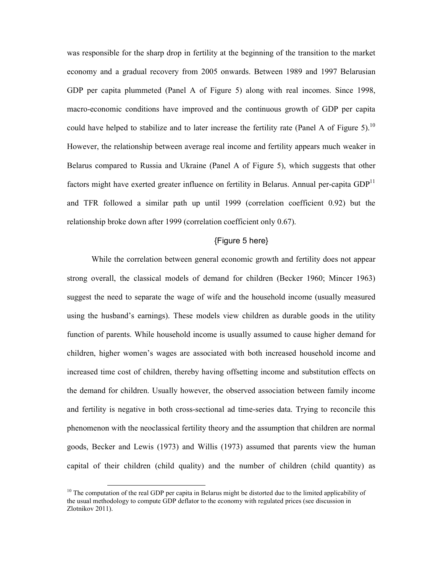was responsible for the sharp drop in fertility at the beginning of the transition to the market economy and a gradual recovery from 2005 onwards. Between 1989 and 1997 Belarusian GDP per capita plummeted (Panel A of Figure 5) along with real incomes. Since 1998, macro-economic conditions have improved and the continuous growth of GDP per capita could have helped to stabilize and to later increase the fertility rate (Panel A of Figure 5).<sup>10</sup> However, the relationship between average real income and fertility appears much weaker in Belarus compared to Russia and Ukraine (Panel A of Figure 5), which suggests that other factors might have exerted greater influence on fertility in Belarus. Annual per-capita  $GDP<sup>11</sup>$ and TFR followed a similar path up until 1999 (correlation coefficient 0.92) but the relationship broke down after 1999 (correlation coefficient only 0.67).

# {Figure 5 here}

While the correlation between general economic growth and fertility does not appear strong overall, the classical models of demand for children (Becker 1960; Mincer 1963) suggest the need to separate the wage of wife and the household income (usually measured using the husband's earnings). These models view children as durable goods in the utility function of parents. While household income is usually assumed to cause higher demand for children, higher women's wages are associated with both increased household income and increased time cost of children, thereby having offsetting income and substitution effects on the demand for children. Usually however, the observed association between family income and fertility is negative in both cross-sectional ad time-series data. Trying to reconcile this phenomenon with the neoclassical fertility theory and the assumption that children are normal goods, Becker and Lewis (1973) and Willis (1973) assumed that parents view the human capital of their children (child quality) and the number of children (child quantity) as

<sup>&</sup>lt;sup>10</sup> The computation of the real GDP per capita in Belarus might be distorted due to the limited applicability of the usual methodology to compute GDP deflator to the economy with regulated prices (see discussion in Zlotnikov 2011).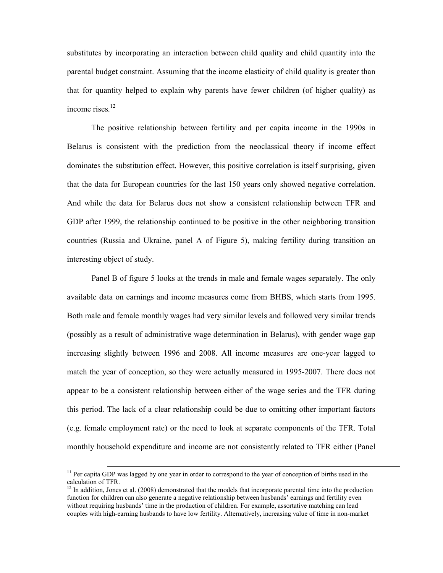substitutes by incorporating an interaction between child quality and child quantity into the parental budget constraint. Assuming that the income elasticity of child quality is greater than that for quantity helped to explain why parents have fewer children (of higher quality) as income rises.<sup>12</sup>

The positive relationship between fertility and per capita income in the 1990s in Belarus is consistent with the prediction from the neoclassical theory if income effect dominates the substitution effect. However, this positive correlation is itself surprising, given that the data for European countries for the last 150 years only showed negative correlation. And while the data for Belarus does not show a consistent relationship between TFR and GDP after 1999, the relationship continued to be positive in the other neighboring transition countries (Russia and Ukraine, panel A of Figure 5), making fertility during transition an interesting object of study.

Panel B of figure 5 looks at the trends in male and female wages separately. The only available data on earnings and income measures come from BHBS, which starts from 1995. Both male and female monthly wages had very similar levels and followed very similar trends (possibly as a result of administrative wage determination in Belarus), with gender wage gap increasing slightly between 1996 and 2008. All income measures are one-year lagged to match the year of conception, so they were actually measured in 1995-2007. There does not appear to be a consistent relationship between either of the wage series and the TFR during this period. The lack of a clear relationship could be due to omitting other important factors (e.g. female employment rate) or the need to look at separate components of the TFR. Total monthly household expenditure and income are not consistently related to TFR either (Panel

<sup>&</sup>lt;sup>11</sup> Per capita GDP was lagged by one year in order to correspond to the year of conception of births used in the calculation of TFR.

 $12$  In addition, Jones et al. (2008) demonstrated that the models that incorporate parental time into the production function for children can also generate a negative relationship between husbands' earnings and fertility even without requiring husbands' time in the production of children. For example, assortative matching can lead couples with high-earning husbands to have low fertility. Alternatively, increasing value of time in non-market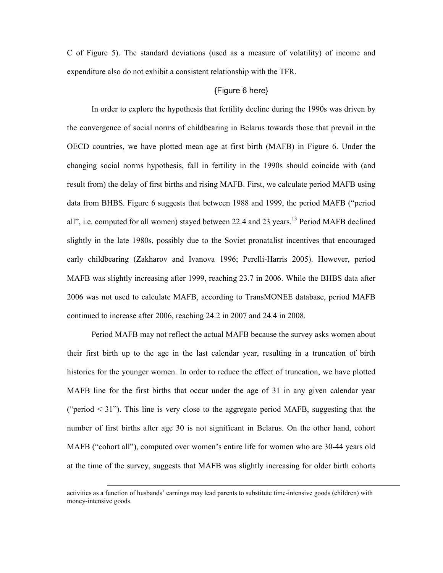C of Figure 5). The standard deviations (used as a measure of volatility) of income and expenditure also do not exhibit a consistent relationship with the TFR.

## {Figure 6 here}

In order to explore the hypothesis that fertility decline during the 1990s was driven by the convergence of social norms of childbearing in Belarus towards those that prevail in the OECD countries, we have plotted mean age at first birth (MAFB) in Figure 6. Under the changing social norms hypothesis, fall in fertility in the 1990s should coincide with (and result from) the delay of first births and rising MAFB. First, we calculate period MAFB using data from BHBS. Figure 6 suggests that between 1988 and 1999, the period MAFB ("period all", i.e. computed for all women) stayed between 22.4 and 23 years.<sup>13</sup> Period MAFB declined slightly in the late 1980s, possibly due to the Soviet pronatalist incentives that encouraged early childbearing (Zakharov and Ivanova 1996; Perelli-Harris 2005). However, period MAFB was slightly increasing after 1999, reaching 23.7 in 2006. While the BHBS data after 2006 was not used to calculate MAFB, according to TransMONEE database, period MAFB continued to increase after 2006, reaching 24.2 in 2007 and 24.4 in 2008.

Period MAFB may not reflect the actual MAFB because the survey asks women about their first birth up to the age in the last calendar year, resulting in a truncation of birth histories for the younger women. In order to reduce the effect of truncation, we have plotted MAFB line for the first births that occur under the age of 31 in any given calendar year ("period  $\leq$  31"). This line is very close to the aggregate period MAFB, suggesting that the number of first births after age 30 is not significant in Belarus. On the other hand, cohort MAFB ("cohort all"), computed over women's entire life for women who are 30-44 years old at the time of the survey, suggests that MAFB was slightly increasing for older birth cohorts

activities as a function of husbands' earnings may lead parents to substitute time-intensive goods (children) with money-intensive goods.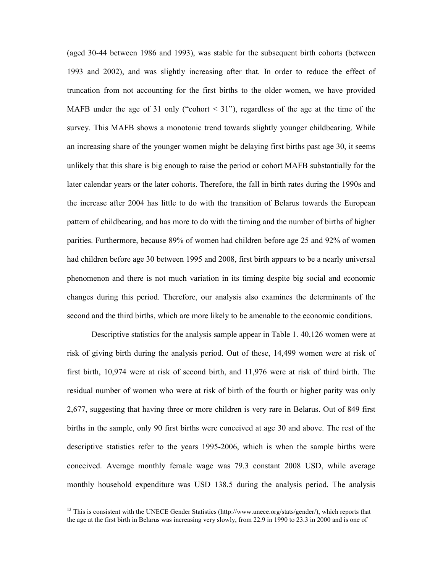(aged 30-44 between 1986 and 1993), was stable for the subsequent birth cohorts (between 1993 and 2002), and was slightly increasing after that. In order to reduce the effect of truncation from not accounting for the first births to the older women, we have provided MAFB under the age of 31 only ("cohort  $\leq$  31"), regardless of the age at the time of the survey. This MAFB shows a monotonic trend towards slightly younger childbearing. While an increasing share of the younger women might be delaying first births past age 30, it seems unlikely that this share is big enough to raise the period or cohort MAFB substantially for the later calendar years or the later cohorts. Therefore, the fall in birth rates during the 1990s and the increase after 2004 has little to do with the transition of Belarus towards the European pattern of childbearing, and has more to do with the timing and the number of births of higher parities. Furthermore, because 89% of women had children before age 25 and 92% of women had children before age 30 between 1995 and 2008, first birth appears to be a nearly universal phenomenon and there is not much variation in its timing despite big social and economic changes during this period. Therefore, our analysis also examines the determinants of the second and the third births, which are more likely to be amenable to the economic conditions.

Descriptive statistics for the analysis sample appear in Table 1. 40,126 women were at risk of giving birth during the analysis period. Out of these, 14,499 women were at risk of first birth, 10,974 were at risk of second birth, and 11,976 were at risk of third birth. The residual number of women who were at risk of birth of the fourth or higher parity was only 2,677, suggesting that having three or more children is very rare in Belarus. Out of 849 first births in the sample, only 90 first births were conceived at age 30 and above. The rest of the descriptive statistics refer to the years 1995-2006, which is when the sample births were conceived. Average monthly female wage was 79.3 constant 2008 USD, while average monthly household expenditure was USD 138.5 during the analysis period. The analysis

<sup>&</sup>lt;sup>13</sup> This is consistent with the UNECE Gender Statistics (http://www.unece.org/stats/gender/), which reports that the age at the first birth in Belarus was increasing very slowly, from 22.9 in 1990 to 23.3 in 2000 and is one of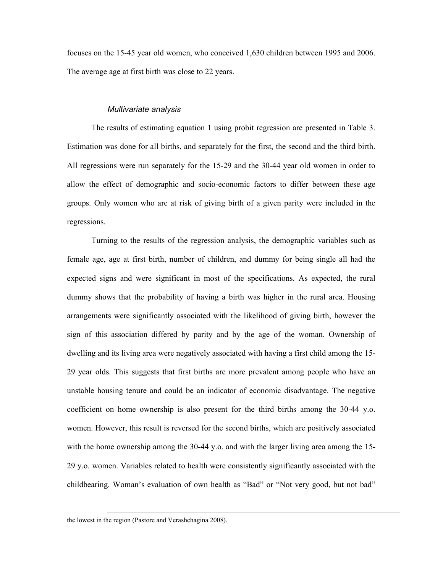focuses on the 15-45 year old women, who conceived 1,630 children between 1995 and 2006. The average age at first birth was close to 22 years.

### Multivariate analysis

The results of estimating equation 1 using probit regression are presented in Table 3. Estimation was done for all births, and separately for the first, the second and the third birth. All regressions were run separately for the 15-29 and the 30-44 year old women in order to allow the effect of demographic and socio-economic factors to differ between these age groups. Only women who are at risk of giving birth of a given parity were included in the regressions.

Turning to the results of the regression analysis, the demographic variables such as female age, age at first birth, number of children, and dummy for being single all had the expected signs and were significant in most of the specifications. As expected, the rural dummy shows that the probability of having a birth was higher in the rural area. Housing arrangements were significantly associated with the likelihood of giving birth, however the sign of this association differed by parity and by the age of the woman. Ownership of dwelling and its living area were negatively associated with having a first child among the 15- 29 year olds. This suggests that first births are more prevalent among people who have an unstable housing tenure and could be an indicator of economic disadvantage. The negative coefficient on home ownership is also present for the third births among the 30-44 y.o. women. However, this result is reversed for the second births, which are positively associated with the home ownership among the 30-44 y.o. and with the larger living area among the 15- 29 y.o. women. Variables related to health were consistently significantly associated with the childbearing. Woman's evaluation of own health as "Bad" or "Not very good, but not bad"

 $\overline{a}$ 

the lowest in the region (Pastore and Verashchagina 2008).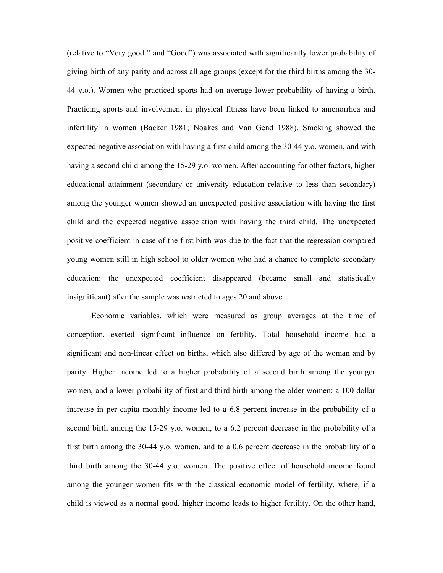(relative to "Very good " and "Good") was associated with significantly lower probability of giving birth of any parity and across all age groups (except for the third births among the 30- 44 y.o.). Women who practiced sports had on average lower probability of having a birth. Practicing sports and involvement in physical fitness have been linked to amenorrhea and infertility in women (Backer 1981; Noakes and Van Gend 1988). Smoking showed the expected negative association with having a first child among the 30-44 y.o. women, and with having a second child among the 15-29 y.o. women. After accounting for other factors, higher educational attainment (secondary or university education relative to less than secondary) among the younger women showed an unexpected positive association with having the first child and the expected negative association with having the third child. The unexpected positive coefficient in case of the first birth was due to the fact that the regression compared young women still in high school to older women who had a chance to complete secondary education: the unexpected coefficient disappeared (became small and statistically insignificant) after the sample was restricted to ages 20 and above.

Economic variables, which were measured as group averages at the time of conception, exerted significant influence on fertility. Total household income had a significant and non-linear effect on births, which also differed by age of the woman and by parity. Higher income led to a higher probability of a second birth among the younger women, and a lower probability of first and third birth among the older women: a 100 dollar increase in per capita monthly income led to a 6.8 percent increase in the probability of a second birth among the 15-29 y.o. women, to a 6.2 percent decrease in the probability of a first birth among the 30-44 y.o. women, and to a 0.6 percent decrease in the probability of a third birth among the 30-44 y.o. women. The positive effect of household income found among the younger women fits with the classical economic model of fertility, where, if a child is viewed as a normal good, higher income leads to higher fertility. On the other hand,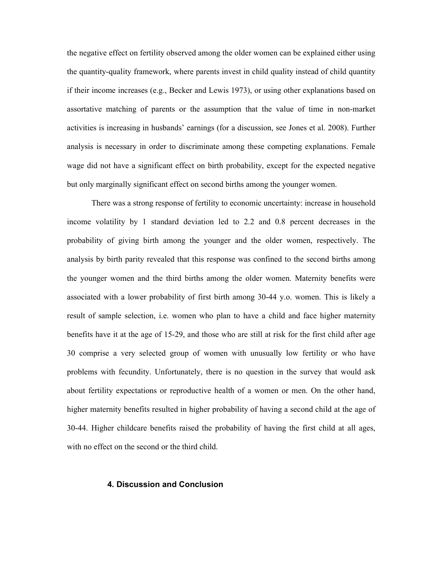the negative effect on fertility observed among the older women can be explained either using the quantity-quality framework, where parents invest in child quality instead of child quantity if their income increases (e.g., Becker and Lewis 1973), or using other explanations based on assortative matching of parents or the assumption that the value of time in non-market activities is increasing in husbands' earnings (for a discussion, see Jones et al. 2008). Further analysis is necessary in order to discriminate among these competing explanations. Female wage did not have a significant effect on birth probability, except for the expected negative but only marginally significant effect on second births among the younger women.

There was a strong response of fertility to economic uncertainty: increase in household income volatility by 1 standard deviation led to 2.2 and 0.8 percent decreases in the probability of giving birth among the younger and the older women, respectively. The analysis by birth parity revealed that this response was confined to the second births among the younger women and the third births among the older women. Maternity benefits were associated with a lower probability of first birth among 30-44 y.o. women. This is likely a result of sample selection, i.e. women who plan to have a child and face higher maternity benefits have it at the age of 15-29, and those who are still at risk for the first child after age 30 comprise a very selected group of women with unusually low fertility or who have problems with fecundity. Unfortunately, there is no question in the survey that would ask about fertility expectations or reproductive health of a women or men. On the other hand, higher maternity benefits resulted in higher probability of having a second child at the age of 30-44. Higher childcare benefits raised the probability of having the first child at all ages, with no effect on the second or the third child.

### 4. Discussion and Conclusion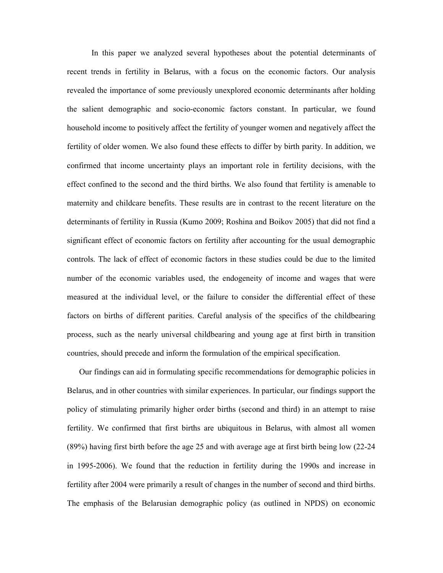In this paper we analyzed several hypotheses about the potential determinants of recent trends in fertility in Belarus, with a focus on the economic factors. Our analysis revealed the importance of some previously unexplored economic determinants after holding the salient demographic and socio-economic factors constant. In particular, we found household income to positively affect the fertility of younger women and negatively affect the fertility of older women. We also found these effects to differ by birth parity. In addition, we confirmed that income uncertainty plays an important role in fertility decisions, with the effect confined to the second and the third births. We also found that fertility is amenable to maternity and childcare benefits. These results are in contrast to the recent literature on the determinants of fertility in Russia (Kumo 2009; Roshina and Boikov 2005) that did not find a significant effect of economic factors on fertility after accounting for the usual demographic controls. The lack of effect of economic factors in these studies could be due to the limited number of the economic variables used, the endogeneity of income and wages that were measured at the individual level, or the failure to consider the differential effect of these factors on births of different parities. Careful analysis of the specifics of the childbearing process, such as the nearly universal childbearing and young age at first birth in transition countries, should precede and inform the formulation of the empirical specification.

Our findings can aid in formulating specific recommendations for demographic policies in Belarus, and in other countries with similar experiences. In particular, our findings support the policy of stimulating primarily higher order births (second and third) in an attempt to raise fertility. We confirmed that first births are ubiquitous in Belarus, with almost all women (89%) having first birth before the age 25 and with average age at first birth being low (22-24 in 1995-2006). We found that the reduction in fertility during the 1990s and increase in fertility after 2004 were primarily a result of changes in the number of second and third births. The emphasis of the Belarusian demographic policy (as outlined in NPDS) on economic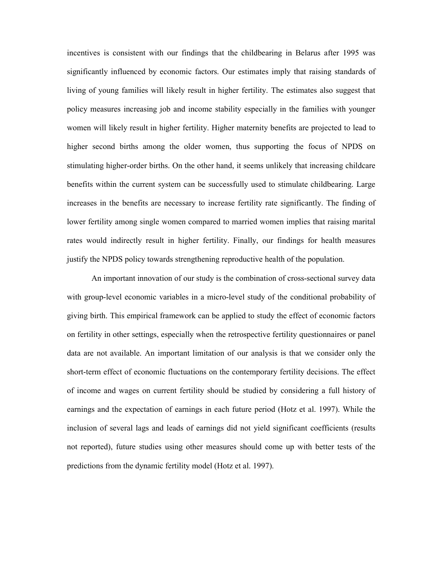incentives is consistent with our findings that the childbearing in Belarus after 1995 was significantly influenced by economic factors. Our estimates imply that raising standards of living of young families will likely result in higher fertility. The estimates also suggest that policy measures increasing job and income stability especially in the families with younger women will likely result in higher fertility. Higher maternity benefits are projected to lead to higher second births among the older women, thus supporting the focus of NPDS on stimulating higher-order births. On the other hand, it seems unlikely that increasing childcare benefits within the current system can be successfully used to stimulate childbearing. Large increases in the benefits are necessary to increase fertility rate significantly. The finding of lower fertility among single women compared to married women implies that raising marital rates would indirectly result in higher fertility. Finally, our findings for health measures justify the NPDS policy towards strengthening reproductive health of the population.

An important innovation of our study is the combination of cross-sectional survey data with group-level economic variables in a micro-level study of the conditional probability of giving birth. This empirical framework can be applied to study the effect of economic factors on fertility in other settings, especially when the retrospective fertility questionnaires or panel data are not available. An important limitation of our analysis is that we consider only the short-term effect of economic fluctuations on the contemporary fertility decisions. The effect of income and wages on current fertility should be studied by considering a full history of earnings and the expectation of earnings in each future period (Hotz et al. 1997). While the inclusion of several lags and leads of earnings did not yield significant coefficients (results not reported), future studies using other measures should come up with better tests of the predictions from the dynamic fertility model (Hotz et al. 1997).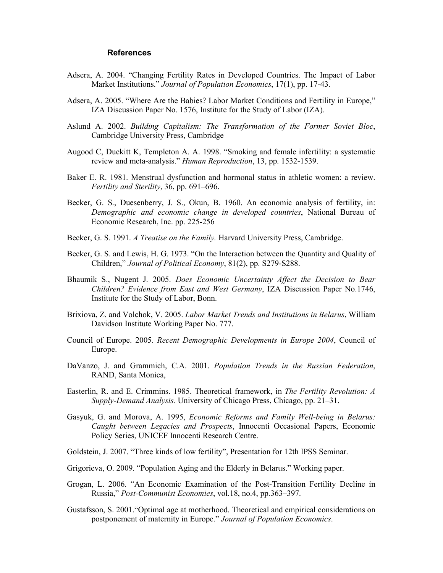#### References

- Adsera, A. 2004. "Changing Fertility Rates in Developed Countries. The Impact of Labor Market Institutions." Journal of Population Economics, 17(1), pp. 17-43.
- Adsera, A. 2005. "Where Are the Babies? Labor Market Conditions and Fertility in Europe," IZA Discussion Paper No. 1576, Institute for the Study of Labor (IZA).
- Aslund A. 2002. Building Capitalism: The Transformation of the Former Soviet Bloc, Cambridge University Press, Cambridge
- Augood C, Duckitt K, Templeton A. A. 1998. "Smoking and female infertility: a systematic review and meta-analysis." Human Reproduction, 13, pp. 1532-1539.
- Baker E. R. 1981. Menstrual dysfunction and hormonal status in athletic women: a review. Fertility and Sterility, 36, pp. 691–696.
- Becker, G. S., Duesenberry, J. S., Okun, B. 1960. An economic analysis of fertility, in: Demographic and economic change in developed countries, National Bureau of Economic Research, Inc. pp. 225-256
- Becker, G. S. 1991. A Treatise on the Family. Harvard University Press, Cambridge.
- Becker, G. S. and Lewis, H. G. 1973. "On the Interaction between the Quantity and Quality of Children," Journal of Political Economy, 81(2), pp. S279-S288.
- Bhaumik S., Nugent J. 2005. Does Economic Uncertainty Affect the Decision to Bear Children? Evidence from East and West Germany, IZA Discussion Paper No.1746, Institute for the Study of Labor, Bonn.
- Brixiova, Z. and Volchok, V. 2005. Labor Market Trends and Institutions in Belarus, William Davidson Institute Working Paper No. 777.
- Council of Europe. 2005. Recent Demographic Developments in Europe 2004, Council of Europe.
- DaVanzo, J. and Grammich, C.A. 2001. Population Trends in the Russian Federation, RAND, Santa Monica,
- Easterlin, R. and E. Crimmins. 1985. Theoretical framework, in The Fertility Revolution: A Supply-Demand Analysis. University of Chicago Press, Chicago, pp. 21–31.
- Gasyuk, G. and Morova, A. 1995, Economic Reforms and Family Well-being in Belarus: Caught between Legacies and Prospects, Innocenti Occasional Papers, Economic Policy Series, UNICEF Innocenti Research Centre.
- Goldstein, J. 2007. "Three kinds of low fertility", Presentation for 12th IPSS Seminar.
- Grigorieva, O. 2009. "Population Aging and the Elderly in Belarus." Working paper.
- Grogan, L. 2006. "An Economic Examination of the Post-Transition Fertility Decline in Russia," Post-Communist Economies, vol.18, no.4, pp.363–397.
- Gustafsson, S. 2001."Optimal age at motherhood. Theoretical and empirical considerations on postponement of maternity in Europe." Journal of Population Economics.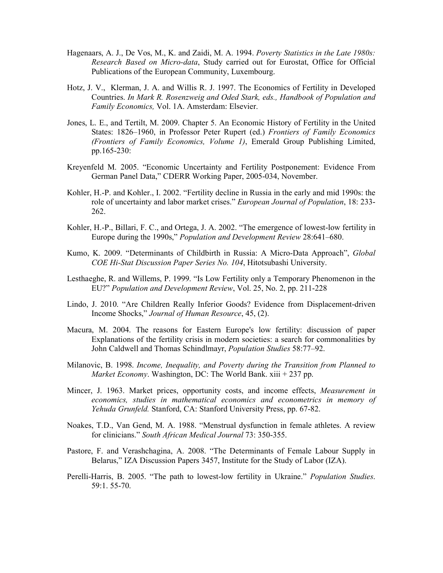- Hagenaars, A. J., De Vos, M., K. and Zaidi, M. A. 1994. Poverty Statistics in the Late 1980s: Research Based on Micro-data, Study carried out for Eurostat, Office for Official Publications of the European Community, Luxembourg.
- Hotz, J. V., Klerman, J. A. and Willis R. J. 1997. The Economics of Fertility in Developed Countries. In Mark R. Rosenzweig and Oded Stark, eds., Handbook of Population and Family Economics, Vol. 1A. Amsterdam: Elsevier.
- Jones, L. E., and Tertilt, M. 2009. Chapter 5. An Economic History of Fertility in the United States: 1826–1960, in Professor Peter Rupert (ed.) Frontiers of Family Economics (Frontiers of Family Economics, Volume 1), Emerald Group Publishing Limited, pp.165-230:
- Kreyenfeld M. 2005. "Economic Uncertainty and Fertility Postponement: Evidence From German Panel Data," CDERR Working Paper, 2005-034, November.
- Kohler, H.-P. and Kohler., I. 2002. "Fertility decline in Russia in the early and mid 1990s: the role of uncertainty and labor market crises." European Journal of Population, 18: 233- 262.
- Kohler, H.-P., Billari, F. C., and Ortega, J. A. 2002. "The emergence of lowest-low fertility in Europe during the 1990s," Population and Development Review 28:641–680.
- Kumo, K. 2009. "Determinants of Childbirth in Russia: A Micro-Data Approach", Global COE Hi-Stat Discussion Paper Series No. 104, Hitotsubashi University.
- Lesthaeghe, R. and Willems, P. 1999. "Is Low Fertility only a Temporary Phenomenon in the EU?" Population and Development Review, Vol. 25, No. 2, pp. 211-228
- Lindo, J. 2010. "Are Children Really Inferior Goods? Evidence from Displacement-driven Income Shocks," Journal of Human Resource, 45, (2).
- Macura, M. 2004. The reasons for Eastern Europe's low fertility: discussion of paper Explanations of the fertility crisis in modern societies: a search for commonalities by John Caldwell and Thomas Schindlmayr, Population Studies 58:77–92.
- Milanovic, B. 1998. Income, Inequality, and Poverty during the Transition from Planned to Market Economy. Washington, DC: The World Bank.  $xiii + 237$  pp.
- Mincer, J. 1963. Market prices, opportunity costs, and income effects, Measurement in economics, studies in mathematical economics and econometrics in memory of Yehuda Grunfeld. Stanford, CA: Stanford University Press, pp. 67-82.
- Noakes, T.D., Van Gend, M. A. 1988. "Menstrual dysfunction in female athletes. A review for clinicians." South African Medical Journal 73: 350-355.
- Pastore, F. and Verashchagina, A. 2008. "The Determinants of Female Labour Supply in Belarus," IZA Discussion Papers 3457, Institute for the Study of Labor (IZA).
- Perelli-Harris, B. 2005. "The path to lowest-low fertility in Ukraine." Population Studies. 59:1. 55-70.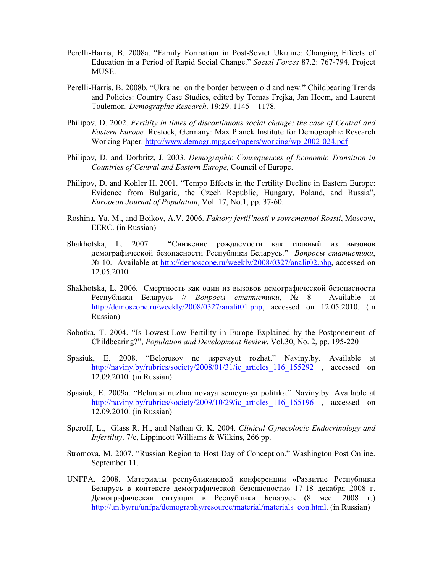- Perelli-Harris, B. 2008a. "Family Formation in Post-Soviet Ukraine: Changing Effects of Education in a Period of Rapid Social Change." Social Forces 87.2: 767-794. Project MUSE.
- Perelli-Harris, B. 2008b. "Ukraine: on the border between old and new." Childbearing Trends and Policies: Country Case Studies, edited by Tomas Frejka, Jan Hoem, and Laurent Toulemon. Demographic Research. 19:29. 1145 – 1178.
- Philipov, D. 2002. Fertility in times of discontinuous social change: the case of Central and Eastern Europe. Rostock, Germany: Max Planck Institute for Demographic Research Working Paper. http://www.demogr.mpg.de/papers/working/wp-2002-024.pdf
- Philipov, D. and Dorbritz, J. 2003. Demographic Consequences of Economic Transition in Countries of Central and Eastern Europe, Council of Europe.
- Philipov, D. and Kohler H. 2001. "Tempo Effects in the Fertility Decline in Eastern Europe: Evidence from Bulgaria, the Czech Republic, Hungary, Poland, and Russia", European Journal of Population, Vol. 17, No.1, pp. 37-60.
- Roshina, Ya. M., and Boikov, A.V. 2006. Faktory fertil'nosti v sovremennoi Rossii, Moscow, EERC. (in Russian)
- Shakhotska, L. 2007. "Снижение рождаемости как главный из вызовов демографической безопасности Республики Беларусь." Вопросы статистики, № 10. Available at http://demoscope.ru/weekly/2008/0327/analit02.php, accessed on 12.05.2010.
- Shakhotska, L. 2006. Смертность как один из вызовов демографической безопасности Республики Беларусь // Вопросы статистики,  $N_2$  8 Available at http://demoscope.ru/weekly/2008/0327/analit01.php, accessed on 12.05.2010. (in Russian)
- Sobotka, T. 2004. "Is Lowest-Low Fertility in Europe Explained by the Postponement of Childbearing?", Population and Development Review, Vol.30, No. 2, pp. 195-220
- Spasiuk, E. 2008. "Belorusov ne uspevayut rozhat." Naviny.by. Available at http://naviny.by/rubrics/society/2008/01/31/ic\_articles\_116\_155292 , accessed on 12.09.2010. (in Russian)
- Spasiuk, E. 2009a. "Belarusi nuzhna novaya semeynaya politika." Naviny.by. Available at http://naviny.by/rubrics/society/2009/10/29/ic\_articles\_116\_165196 , accessed on 12.09.2010. (in Russian)
- Speroff, L., Glass R. H., and Nathan G. K. 2004. Clinical Gynecologic Endocrinology and Infertility. 7/e, Lippincott Williams & Wilkins, 266 pp.
- Stromova, M. 2007. "Russian Region to Host Day of Conception." Washington Post Online. September 11.
- UNFPA. 2008. Материалы республиканской конференции «Развитие Республики Беларусь в контексте демографической безопасности» 17-18 декабря 2008 г. Демографическая ситуация в Республики Беларусь (8 мес. 2008 г.) http://un.by/ru/unfpa/demography/resource/material/materials\_con.html. (in Russian)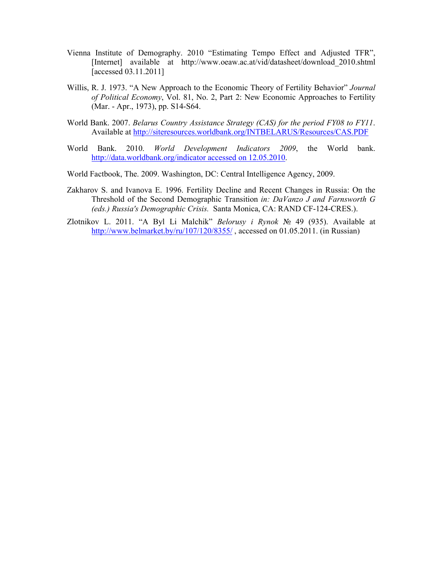- Vienna Institute of Demography. 2010 "Estimating Tempo Effect and Adjusted TFR", [Internet] available at http://www.oeaw.ac.at/vid/datasheet/download\_2010.shtml [accessed 03.11.2011]
- Willis, R. J. 1973. "A New Approach to the Economic Theory of Fertility Behavior" Journal of Political Economy, Vol. 81, No. 2, Part 2: New Economic Approaches to Fertility (Mar. - Apr., 1973), pp. S14-S64.
- World Bank. 2007. Belarus Country Assistance Strategy (CAS) for the period FY08 to FY11. Available at http://siteresources.worldbank.org/INTBELARUS/Resources/CAS.PDF
- World Bank. 2010. World Development Indicators 2009, the World bank. http://data.worldbank.org/indicator accessed on 12.05.2010.
- World Factbook, The. 2009. Washington, DC: Central Intelligence Agency, 2009.
- Zakharov S. and Ivanova E. 1996. Fertility Decline and Recent Changes in Russia: On the Threshold of the Second Demographic Transition in: DaVanzo J and Farnsworth G (eds.) Russia's Demographic Crisis. Santa Monica, CA: RAND CF-124-CRES.).
- Zlotnikov L. 2011. "A Byl Li Malchik" Belorusy i Rynok № 49 (935). Available at http://www.belmarket.by/ru/107/120/8355/, accessed on 01.05.2011. (in Russian)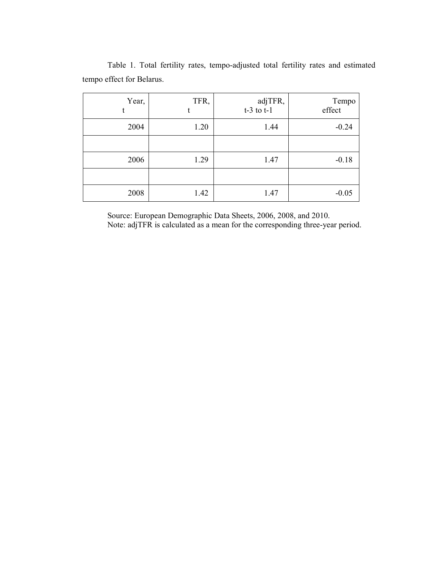| Year, | TFR, | adjTFR,<br>$t-3$ to $t-1$ | Tempo<br>effect |
|-------|------|---------------------------|-----------------|
| 2004  | 1.20 | 1.44                      | $-0.24$         |
|       |      |                           |                 |
| 2006  | 1.29 | 1.47                      | $-0.18$         |
|       |      |                           |                 |
| 2008  | 1.42 | 1.47                      | $-0.05$         |

Table 1. Total fertility rates, tempo-adjusted total fertility rates and estimated tempo effect for Belarus.

Source: European Demographic Data Sheets, 2006, 2008, and 2010. Note: adjTFR is calculated as a mean for the corresponding three-year period.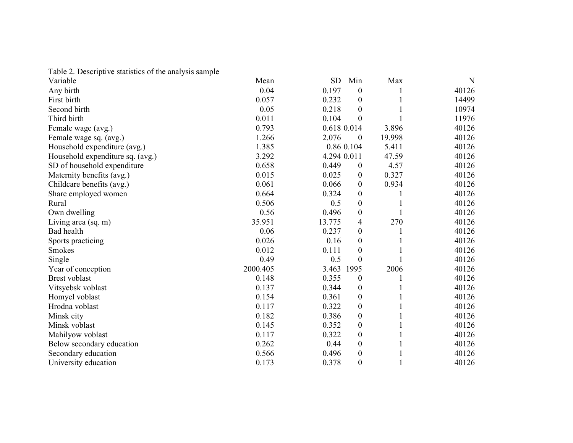Table 2. Descriptive statistics of the analysis sample

| Variable                         | Mean     | <b>SD</b>   | Min              | Max    | N     |
|----------------------------------|----------|-------------|------------------|--------|-------|
| Any birth                        | 0.04     | 0.197       | $\mathbf{0}$     |        | 40126 |
| First birth                      | 0.057    | 0.232       | $\boldsymbol{0}$ |        | 14499 |
| Second birth                     | 0.05     | 0.218       | $\boldsymbol{0}$ |        | 10974 |
| Third birth                      | 0.011    | 0.104       | $\boldsymbol{0}$ |        | 11976 |
| Female wage (avg.)               | 0.793    | 0.618 0.014 |                  | 3.896  | 40126 |
| Female wage sq. (avg.)           | 1.266    | 2.076       | $\overline{0}$   | 19.998 | 40126 |
| Household expenditure (avg.)     | 1.385    |             | 0.86 0.104       | 5.411  | 40126 |
| Household expenditure sq. (avg.) | 3.292    | 4.294 0.011 |                  | 47.59  | 40126 |
| SD of household expenditure      | 0.658    | 0.449       | $\boldsymbol{0}$ | 4.57   | 40126 |
| Maternity benefits (avg.)        | 0.015    | 0.025       | $\boldsymbol{0}$ | 0.327  | 40126 |
| Childcare benefits (avg.)        | 0.061    | 0.066       | $\boldsymbol{0}$ | 0.934  | 40126 |
| Share employed women             | 0.664    | 0.324       | $\boldsymbol{0}$ |        | 40126 |
| Rural                            | 0.506    | 0.5         | $\boldsymbol{0}$ |        | 40126 |
| Own dwelling                     | 0.56     | 0.496       | $\boldsymbol{0}$ |        | 40126 |
| Living area (sq. m)              | 35.951   | 13.775      | 4                | 270    | 40126 |
| Bad health                       | 0.06     | 0.237       | $\boldsymbol{0}$ |        | 40126 |
| Sports practicing                | 0.026    | 0.16        | $\boldsymbol{0}$ |        | 40126 |
| <b>Smokes</b>                    | 0.012    | 0.111       | $\boldsymbol{0}$ |        | 40126 |
| Single                           | 0.49     | 0.5         | $\theta$         |        | 40126 |
| Year of conception               | 2000.405 | 3.463       | 1995             | 2006   | 40126 |
| <b>Brest voblast</b>             | 0.148    | 0.355       | $\boldsymbol{0}$ |        | 40126 |
| Vitsyebsk voblast                | 0.137    | 0.344       | $\boldsymbol{0}$ |        | 40126 |
| Homyel voblast                   | 0.154    | 0.361       | $\boldsymbol{0}$ |        | 40126 |
| Hrodna voblast                   | 0.117    | 0.322       | $\boldsymbol{0}$ |        | 40126 |
| Minsk city                       | 0.182    | 0.386       | $\boldsymbol{0}$ |        | 40126 |
| Minsk voblast                    | 0.145    | 0.352       | $\boldsymbol{0}$ |        | 40126 |
| Mahilyow voblast                 | 0.117    | 0.322       | $\boldsymbol{0}$ |        | 40126 |
| Below secondary education        | 0.262    | 0.44        | $\boldsymbol{0}$ |        | 40126 |
| Secondary education              | 0.566    | 0.496       | $\boldsymbol{0}$ |        | 40126 |
| University education             | 0.173    | 0.378       | $\boldsymbol{0}$ |        | 40126 |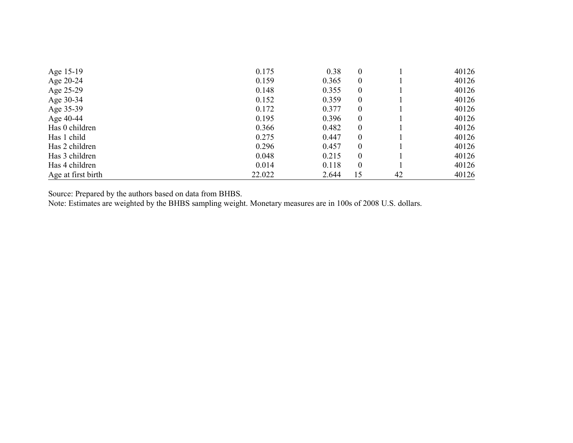| Age 15-19          | 0.175  | 0.38  | $\theta$         |    | 40126 |
|--------------------|--------|-------|------------------|----|-------|
| Age 20-24          | 0.159  | 0.365 | $\boldsymbol{0}$ |    | 40126 |
| Age 25-29          | 0.148  | 0.355 | $\theta$         |    | 40126 |
| Age 30-34          | 0.152  | 0.359 | $\boldsymbol{0}$ |    | 40126 |
| Age 35-39          | 0.172  | 0.377 | $\boldsymbol{0}$ |    | 40126 |
| Age 40-44          | 0.195  | 0.396 | $\theta$         |    | 40126 |
| Has 0 children     | 0.366  | 0.482 | $\theta$         |    | 40126 |
| Has 1 child        | 0.275  | 0.447 | $\boldsymbol{0}$ |    | 40126 |
| Has 2 children     | 0.296  | 0.457 | $\boldsymbol{0}$ |    | 40126 |
| Has 3 children     | 0.048  | 0.215 | $\boldsymbol{0}$ |    | 40126 |
| Has 4 children     | 0.014  | 0.118 | $\boldsymbol{0}$ |    | 40126 |
| Age at first birth | 22.022 | 2.644 | 15               | 42 | 40126 |

Source: Prepared by the authors based on data from BHBS. Note: Estimates are weighted by the BHBS sampling weight. Monetary measures are in 100s of 2008 U.S. dollars.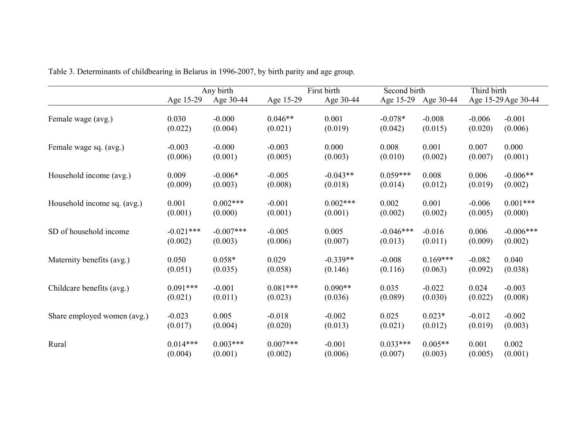|                             |             | Any birth   |            | First birth | Second birth |            | Third birth |                     |
|-----------------------------|-------------|-------------|------------|-------------|--------------|------------|-------------|---------------------|
|                             | Age 15-29   | Age 30-44   | Age 15-29  | Age 30-44   | Age 15-29    | Age 30-44  |             | Age 15-29 Age 30-44 |
| Female wage (avg.)          | 0.030       | $-0.000$    | $0.046**$  | 0.001       | $-0.078*$    | $-0.008$   | $-0.006$    | $-0.001$            |
|                             | (0.022)     | (0.004)     | (0.021)    | (0.019)     | (0.042)      | (0.015)    | (0.020)     | (0.006)             |
| Female wage sq. (avg.)      | $-0.003$    | $-0.000$    | $-0.003$   | 0.000       | 0.008        | 0.001      | 0.007       | 0.000               |
|                             | (0.006)     | (0.001)     | (0.005)    | (0.003)     | (0.010)      | (0.002)    | (0.007)     | (0.001)             |
| Household income (avg.)     | 0.009       | $-0.006*$   | $-0.005$   | $-0.043**$  | $0.059***$   | 0.008      | 0.006       | $-0.006**$          |
|                             | (0.009)     | (0.003)     | (0.008)    | (0.018)     | (0.014)      | (0.012)    | (0.019)     | (0.002)             |
| Household income sq. (avg.) | 0.001       | $0.002***$  | $-0.001$   | $0.002***$  | 0.002        | 0.001      | $-0.006$    | $0.001***$          |
|                             | (0.001)     | (0.000)     | (0.001)    | (0.001)     | (0.002)      | (0.002)    | (0.005)     | (0.000)             |
| SD of household income      | $-0.021***$ | $-0.007***$ | $-0.005$   | 0.005       | $-0.046***$  | $-0.016$   | 0.006       | $-0.006***$         |
|                             | (0.002)     | (0.003)     | (0.006)    | (0.007)     | (0.013)      | (0.011)    | (0.009)     | (0.002)             |
| Maternity benefits (avg.)   | 0.050       | $0.058*$    | 0.029      | $-0.339**$  | $-0.008$     | $0.169***$ | $-0.082$    | 0.040               |
|                             | (0.051)     | (0.035)     | (0.058)    | (0.146)     | (0.116)      | (0.063)    | (0.092)     | (0.038)             |
| Childcare benefits (avg.)   | $0.091***$  | $-0.001$    | $0.081***$ | $0.090**$   | 0.035        | $-0.022$   | 0.024       | $-0.003$            |
|                             | (0.021)     | (0.011)     | (0.023)    | (0.036)     | (0.089)      | (0.030)    | (0.022)     | (0.008)             |
| Share employed women (avg.) | $-0.023$    | 0.005       | $-0.018$   | $-0.002$    | 0.025        | $0.023*$   | $-0.012$    | $-0.002$            |
|                             | (0.017)     | (0.004)     | (0.020)    | (0.013)     | (0.021)      | (0.012)    | (0.019)     | (0.003)             |
| Rural                       | $0.014***$  | $0.003***$  | $0.007***$ | $-0.001$    | $0.033***$   | $0.005**$  | 0.001       | 0.002               |
|                             | (0.004)     | (0.001)     | (0.002)    | (0.006)     | (0.007)      | (0.003)    | (0.005)     | (0.001)             |

Table 3. Determinants of childbearing in Belarus in 1996-2007, by birth parity and age group.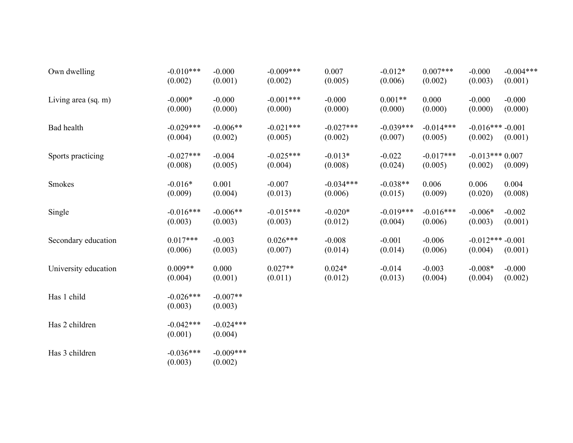| Own dwelling         | $-0.010***$<br>(0.002) | $-0.000$<br>(0.001)    | $-0.009***$<br>(0.002) | 0.007<br>(0.005)       | $-0.012*$<br>(0.006)   | $0.007***$<br>(0.002)  | $-0.000$<br>(0.003)           | $-0.004***$<br>(0.001) |
|----------------------|------------------------|------------------------|------------------------|------------------------|------------------------|------------------------|-------------------------------|------------------------|
| Living area (sq. m)  | $-0.000*$<br>(0.000)   | $-0.000$<br>(0.000)    | $-0.001***$<br>(0.000) | $-0.000$<br>(0.000)    | $0.001**$<br>(0.000)   | 0.000<br>(0.000)       | $-0.000$<br>(0.000)           | $-0.000$<br>(0.000)    |
| Bad health           | $-0.029***$<br>(0.004) | $-0.006**$<br>(0.002)  | $-0.021***$<br>(0.005) | $-0.027***$<br>(0.002) | $-0.039***$<br>(0.007) | $-0.014***$<br>(0.005) | $-0.016*** -0.001$<br>(0.002) | (0.001)                |
| Sports practicing    | $-0.027***$<br>(0.008) | $-0.004$<br>(0.005)    | $-0.025***$<br>(0.004) | $-0.013*$<br>(0.008)   | $-0.022$<br>(0.024)    | $-0.017***$<br>(0.005) | $-0.013***0.007$<br>(0.002)   | (0.009)                |
| Smokes               | $-0.016*$<br>(0.009)   | 0.001<br>(0.004)       | $-0.007$<br>(0.013)    | $-0.034***$<br>(0.006) | $-0.038**$<br>(0.015)  | 0.006<br>(0.009)       | 0.006<br>(0.020)              | 0.004<br>(0.008)       |
| Single               | $-0.016***$<br>(0.003) | $-0.006**$<br>(0.003)  | $-0.015***$<br>(0.003) | $-0.020*$<br>(0.012)   | $-0.019***$<br>(0.004) | $-0.016***$<br>(0.006) | $-0.006*$<br>(0.003)          | $-0.002$<br>(0.001)    |
| Secondary education  | $0.017***$<br>(0.006)  | $-0.003$<br>(0.003)    | $0.026***$<br>(0.007)  | $-0.008$<br>(0.014)    | $-0.001$<br>(0.014)    | $-0.006$<br>(0.006)    | $-0.012***-0.001$<br>(0.004)  | (0.001)                |
| University education | $0.009**$<br>(0.004)   | 0.000<br>(0.001)       | $0.027**$<br>(0.011)   | $0.024*$<br>(0.012)    | $-0.014$<br>(0.013)    | $-0.003$<br>(0.004)    | $-0.008*$<br>(0.004)          | $-0.000$<br>(0.002)    |
| Has 1 child          | $-0.026***$<br>(0.003) | $-0.007**$<br>(0.003)  |                        |                        |                        |                        |                               |                        |
| Has 2 children       | $-0.042***$<br>(0.001) | $-0.024***$<br>(0.004) |                        |                        |                        |                        |                               |                        |
| Has 3 children       | $-0.036***$<br>(0.003) | $-0.009***$<br>(0.002) |                        |                        |                        |                        |                               |                        |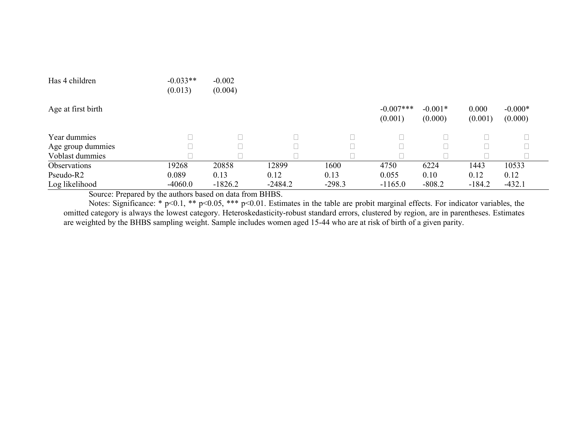| Has 4 children     | $-0.033**$<br>(0.013) | $-0.002$<br>(0.004) |           |          |                        |                      |                  |                      |  |
|--------------------|-----------------------|---------------------|-----------|----------|------------------------|----------------------|------------------|----------------------|--|
| Age at first birth |                       |                     |           |          | $-0.007***$<br>(0.001) | $-0.001*$<br>(0.000) | 0.000<br>(0.001) | $-0.000*$<br>(0.000) |  |
| Year dummies       |                       |                     |           |          |                        |                      |                  |                      |  |
| Age group dummies  |                       |                     |           |          |                        |                      |                  |                      |  |
| Voblast dummies    |                       |                     |           |          |                        |                      |                  |                      |  |
| Observations       | 19268                 | 20858               | 12899     | 1600     | 4750                   | 6224                 | 1443             | 10533                |  |
| Pseudo-R2          | 0.089                 | 0.13                | 0.12      | 0.13     | 0.055                  | 0.10                 | 0.12             | 0.12                 |  |
| Log likelihood     | $-4060.0$             | $-1826.2$           | $-2484.2$ | $-298.3$ | $-1165.0$              | $-808.2$             | $-184.2$         | $-432.1$             |  |

Source: Prepared by the authors based on data from BHBS.

Notes: Significance: \* p<0.1, \*\* p<0.05, \*\*\* p<0.01. Estimates in the table are probit marginal effects. For indicator variables, the omitted category is always the lowest category. Heteroskedasticity-robust standard errors, clustered by region, are in parentheses. Estimates are weighted by the BHBS sampling weight. Sample includes women aged 15-44 who are at risk of birth of a given parity.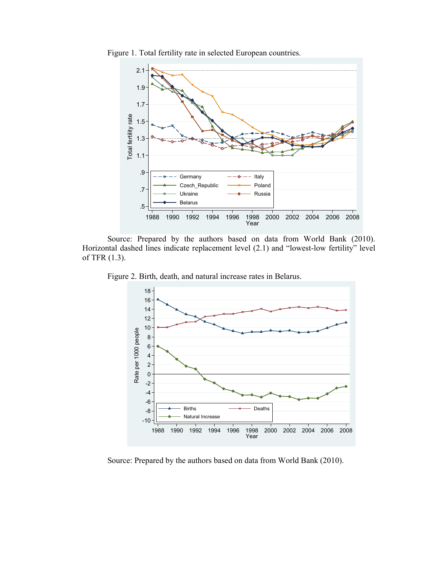

Figure 1. Total fertility rate in selected European countries.

Source: Prepared by the authors based on data from World Bank (2010). Horizontal dashed lines indicate replacement level  $(2.1)$  and "lowest-low fertility" level of TFR (1.3).

Figure 2. Birth, death, and natural increase rates in Belarus.



Source: Prepared by the authors based on data from World Bank (2010).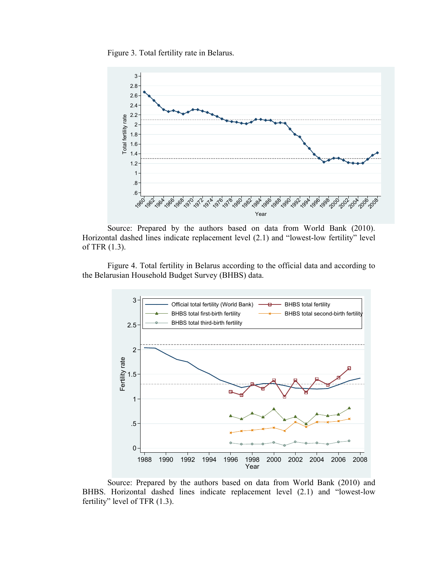Figure 3. Total fertility rate in Belarus.



Source: Prepared by the authors based on data from World Bank (2010). Horizontal dashed lines indicate replacement level (2.1) and "lowest-low fertility" level of TFR (1.3).

Figure 4. Total fertility in Belarus according to the official data and according to the Belarusian Household Budget Survey (BHBS) data.



Source: Prepared by the authors based on data from World Bank (2010) and BHBS. Horizontal dashed lines indicate replacement level (2.1) and "lowest-low fertility" level of TFR (1.3).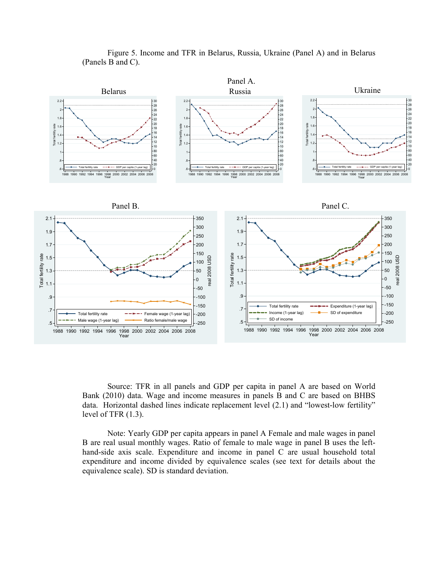

Figure 5. Income and TFR in Belarus, Russia, Ukraine (Panel A) and in Belarus (Panels B and C).

Source: TFR in all panels and GDP per capita in panel A are based on World Bank (2010) data. Wage and income measures in panels B and C are based on BHBS data. Horizontal dashed lines indicate replacement level (2.1) and "lowest-low fertility" level of TFR (1.3).

Note: Yearly GDP per capita appears in panel A Female and male wages in panel B are real usual monthly wages. Ratio of female to male wage in panel B uses the lefthand-side axis scale. Expenditure and income in panel C are usual household total expenditure and income divided by equivalence scales (see text for details about the equivalence scale). SD is standard deviation.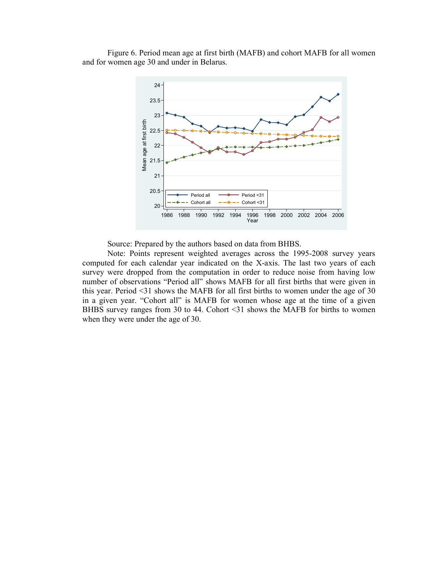Figure 6. Period mean age at first birth (MAFB) and cohort MAFB for all women and for women age 30 and under in Belarus.



Source: Prepared by the authors based on data from BHBS.

Note: Points represent weighted averages across the 1995-2008 survey years computed for each calendar year indicated on the X-axis. The last two years of each survey were dropped from the computation in order to reduce noise from having low number of observations "Period all" shows MAFB for all first births that were given in this year. Period <31 shows the MAFB for all first births to women under the age of 30 in a given year. "Cohort all" is MAFB for women whose age at the time of a given BHBS survey ranges from 30 to 44. Cohort <31 shows the MAFB for births to women when they were under the age of 30.